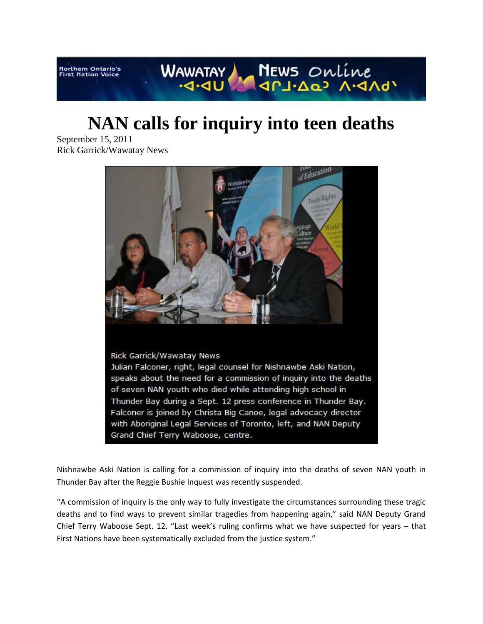WAWATAY REWS ONLine **Northern Ontario's<br>First Nation Voice** 

## **NAN calls for inquiry into teen deaths**

September 15, 2011 Rick Garrick/Wawatay News



Nishnawbe Aski Nation is calling for a commission of inquiry into the deaths of seven NAN youth in Thunder Bay after the Reggie Bushie Inquest was recently suspended.

"A commission of inquiry is the only way to fully investigate the circumstances surrounding these tragic deaths and to find ways to prevent similar tragedies from happening again," said NAN Deputy Grand Chief Terry Waboose Sept. 12. "Last week's ruling confirms what we have suspected for years – that First Nations have been systematically excluded from the justice system."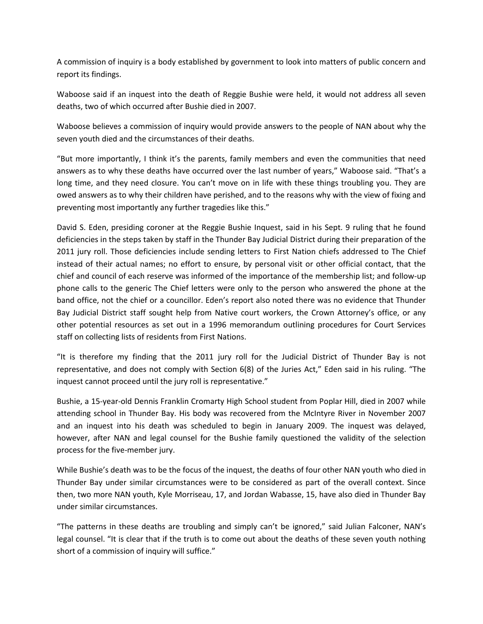A commission of inquiry is a body established by government to look into matters of public concern and report its findings.

Waboose said if an inquest into the death of Reggie Bushie were held, it would not address all seven deaths, two of which occurred after Bushie died in 2007.

Waboose believes a commission of inquiry would provide answers to the people of NAN about why the seven youth died and the circumstances of their deaths.

"But more importantly, I think it's the parents, family members and even the communities that need answers as to why these deaths have occurred over the last number of years," Waboose said. "That's a long time, and they need closure. You can't move on in life with these things troubling you. They are owed answers as to why their children have perished, and to the reasons why with the view of fixing and preventing most importantly any further tragedies like this."

David S. Eden, presiding coroner at the Reggie Bushie Inquest, said in his Sept. 9 ruling that he found deficiencies in the steps taken by staff in the Thunder Bay Judicial District during their preparation of the 2011 jury roll. Those deficiencies include sending letters to First Nation chiefs addressed to The Chief instead of their actual names; no effort to ensure, by personal visit or other official contact, that the chief and council of each reserve was informed of the importance of the membership list; and follow-up phone calls to the generic The Chief letters were only to the person who answered the phone at the band office, not the chief or a councillor. Eden's report also noted there was no evidence that Thunder Bay Judicial District staff sought help from Native court workers, the Crown Attorney's office, or any other potential resources as set out in a 1996 memorandum outlining procedures for Court Services staff on collecting lists of residents from First Nations.

"It is therefore my finding that the 2011 jury roll for the Judicial District of Thunder Bay is not representative, and does not comply with Section 6(8) of the Juries Act," Eden said in his ruling. "The inquest cannot proceed until the jury roll is representative."

Bushie, a 15-year-old Dennis Franklin Cromarty High School student from Poplar Hill, died in 2007 while attending school in Thunder Bay. His body was recovered from the McIntyre River in November 2007 and an inquest into his death was scheduled to begin in January 2009. The inquest was delayed, however, after NAN and legal counsel for the Bushie family questioned the validity of the selection process for the five-member jury.

While Bushie's death was to be the focus of the inquest, the deaths of four other NAN youth who died in Thunder Bay under similar circumstances were to be considered as part of the overall context. Since then, two more NAN youth, Kyle Morriseau, 17, and Jordan Wabasse, 15, have also died in Thunder Bay under similar circumstances.

"The patterns in these deaths are troubling and simply can't be ignored," said Julian Falconer, NAN's legal counsel. "It is clear that if the truth is to come out about the deaths of these seven youth nothing short of a commission of inquiry will suffice."